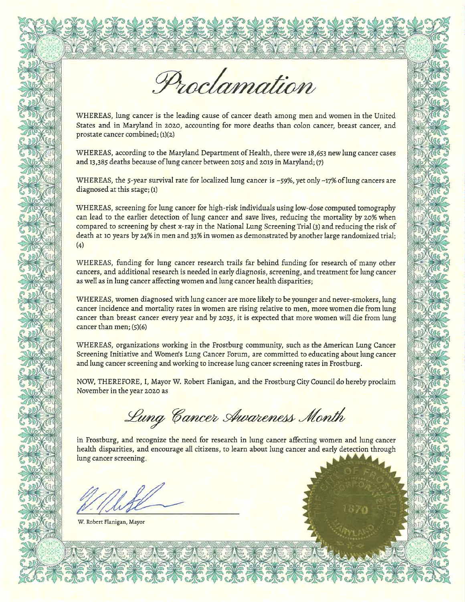Proclamation

WHEREAS, lung cancer is the leading cause of cancer death among men and women in the United States and in Maryland in 2020, accounting for more deaths than colon cancer, breast cancer, and prostate cancer combined; (1)(2)

WHEREAS, according to the Maryland Department of Health, there were 18,653 new lung cancer cases and  $13,385$  deaths because of lung cancer between 2015 and 2019 in Maryland; (7)

WHEREAS, the 5-year survival rate for localized lung cancer is ~59%, yet only ~17% of lung cancers are diagnosedat this stage; (1)

WHEREAS, screening for lung cancer for high-risk individuals using low-dose computed tomography can lead to the earlier detection of lung cancer and save lives, reducing the mortality by 20% when compared to screening by chest x-ray in the National Lung Screening Trial (3) and reducing the risk of death at 10 years by 24% in men and 33% in women as demonstrated by another large randomized trial; (4)

WHEREAS, funding for lung cancer research trails far behind funding for research of many other cancers, and additional research is needed in early diagnosis, screening, and treatment for lung cancer as well as in lung cancer affecting women and lung cancer health disparities;

WHEREAS, women diagnosed with lung cancer are more likely to be younger and never-smokers, lung cancer incidence and mortality rates in women are rising relative to men, more women die from lung cancer than breast cancer every year and by 2035, it is expected that more Women will die from lung cancer than men; (5)(6)

WHEREAS, organizations working in the Frostburg community, such as the American Lung Cancer Screening Initiative and Women's Lung Cancer Forum, are committed to educating about lung cancer and lung cancer screening and working to increase lung cancer screening rates in Frostburg.

NOW, THEREFORE, I, Mayor W. Robert Flanigan, and the Frostburg City Council do hereby proclaim Novemberin the year zozo as

Lung Cancer Awareness Month

in Frostburg, and recognize the need for research in lung cancer affecting women and lung cancer health disparities, and encourage all citizens, to learn about lung cancer and early detection through lung cancer screening.

W. Robert Flanigan, Mayor